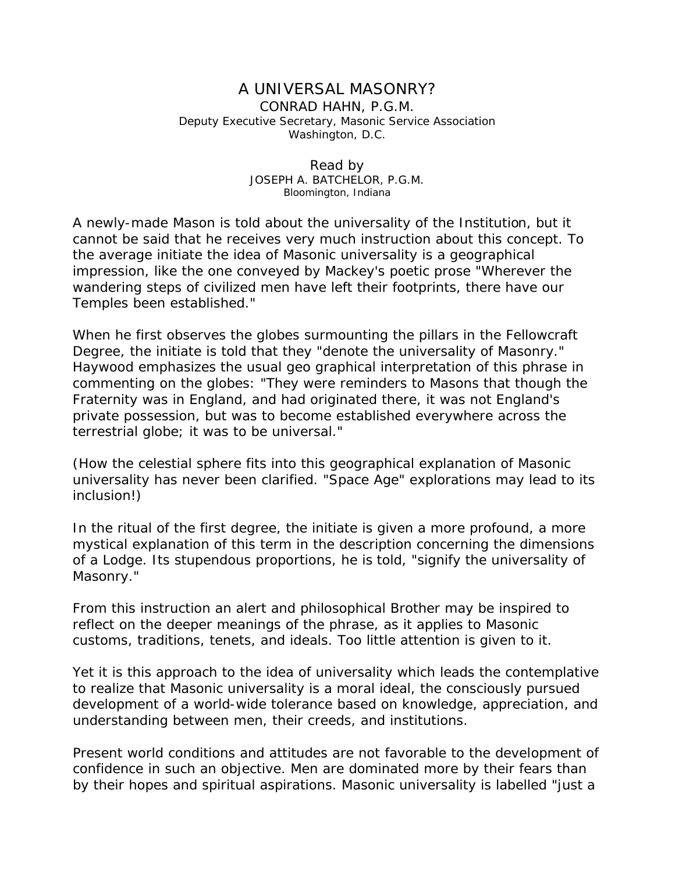## A UNIVERSAL MASONRY? CONRAD HAHN, P.G.M. Deputy Executive Secretary, Masonic Service Association Washington, D.C.

## Read by JOSEPH A. BATCHELOR, P.G.M. Bloomington, Indiana

A newly-made Mason is told about the universality of the Institution, but it cannot be said that he receives very much instruction about this concept. To the average initiate the idea of Masonic universality is a geographical impression, like the one conveyed by Mackey's poetic prose "Wherever the wandering steps of civilized men have left their footprints, there have our Temples been established."

When he first observes the globes surmounting the pillars in the Fellowcraft Degree, the initiate is told that they "denote the universality of Masonry." Haywood emphasizes the usual geo graphical interpretation of this phrase in commenting on the globes: "They were reminders to Masons that though the Fraternity was in England, and had originated there, it was not England's private possession, but was to become established everywhere across the terrestrial globe; it was to be universal."

(How the celestial sphere fits into this geographical explanation of Masonic universality has never been clarified. "Space Age" explorations may lead to its inclusion!)

In the ritual of the first degree, the initiate is given a more profound, a more mystical explanation of this term in the description concerning the dimensions of a Lodge. Its stupendous proportions, he is told, "signify the universality of Masonry."

From this instruction an alert and philosophical Brother may be inspired to reflect on the deeper meanings of the phrase, as it applies to Masonic customs, traditions, tenets, and ideals. Too little attention is given to it.

Yet it is this approach to the idea of universality which leads the contemplative to realize that Masonic universality is a moral ideal, the consciously pursued development of a world-wide tolerance based on knowledge, appreciation, and understanding between men, their creeds, and institutions.

Present world conditions and attitudes are not favorable to the development of confidence in such an objective. Men are dominated more by their fears than by their hopes and spiritual aspirations. Masonic universality is labelled "just a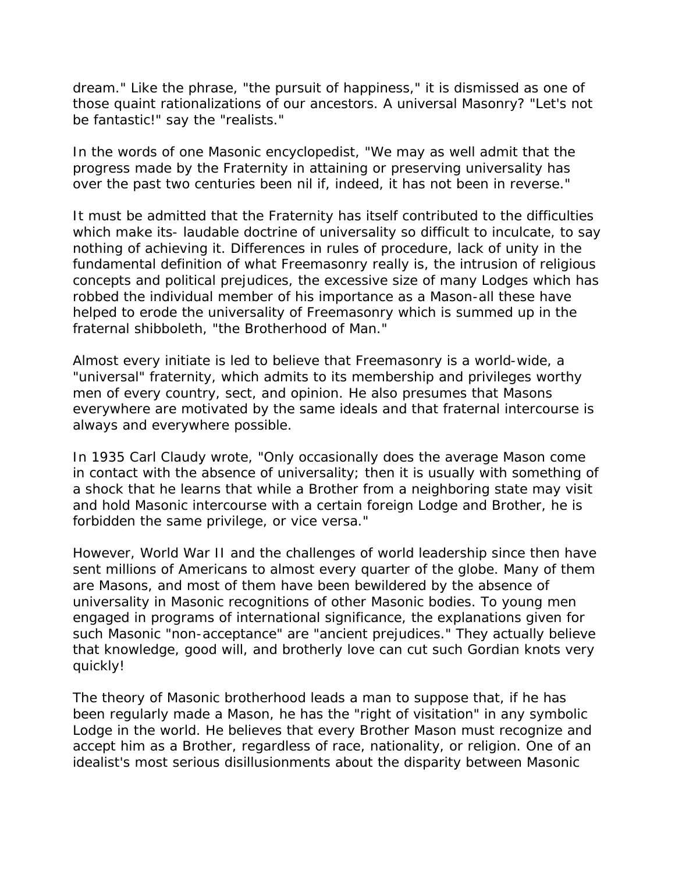dream." Like the phrase, "the pursuit of happiness," it is dismissed as one of those quaint rationalizations of our ancestors. A universal Masonry? "Let's not be fantastic!" say the "realists."

In the words of one Masonic encyclopedist, "We may as well admit that the progress made by the Fraternity in attaining or preserving universality has over the past two centuries been nil if, indeed, it has not been in reverse."

It must be admitted that the Fraternity has itself contributed to the difficulties which make its- laudable doctrine of universality so difficult to inculcate, to say nothing of achieving it. Differences in rules of procedure, lack of unity in the fundamental definition of what Freemasonry really is, the intrusion of religious concepts and political prejudices, the excessive size of many Lodges which has robbed the individual member of his importance as a Mason-all these have helped to erode the universality of Freemasonry which is summed up in the fraternal shibboleth, "the Brotherhood of Man."

Almost every initiate is led to believe that Freemasonry is a world-wide, a "universal" fraternity, which admits to its membership and privileges worthy men of every country, sect, and opinion. He also presumes that Masons everywhere are motivated by the same ideals and that fraternal intercourse is always and everywhere possible.

In 1935 Carl Claudy wrote, "Only occasionally does the average Mason come in contact with the absence of universality; then it is usually with something of a shock that he learns that while a Brother from a neighboring state may visit and hold Masonic intercourse with a certain foreign Lodge and Brother, he is forbidden the same privilege, or vice versa."

However, World War II and the challenges of world leadership since then have sent millions of Americans to almost every quarter of the globe. Many of them are Masons, and most of them have been bewildered by the absence of universality in Masonic recognitions of other Masonic bodies. To young men engaged in programs of international significance, the explanations given for such Masonic "non-acceptance" are "ancient prejudices." They actually believe that knowledge, good will, and brotherly love can cut such Gordian knots very quickly!

The theory of Masonic brotherhood leads a man to suppose that, if he has been regularly made a Mason, he has the "right of visitation" in any symbolic Lodge in the world. He believes that every Brother Mason must recognize and accept him as a Brother, regardless of race, nationality, or religion. One of an idealist's most serious disillusionments about the disparity between Masonic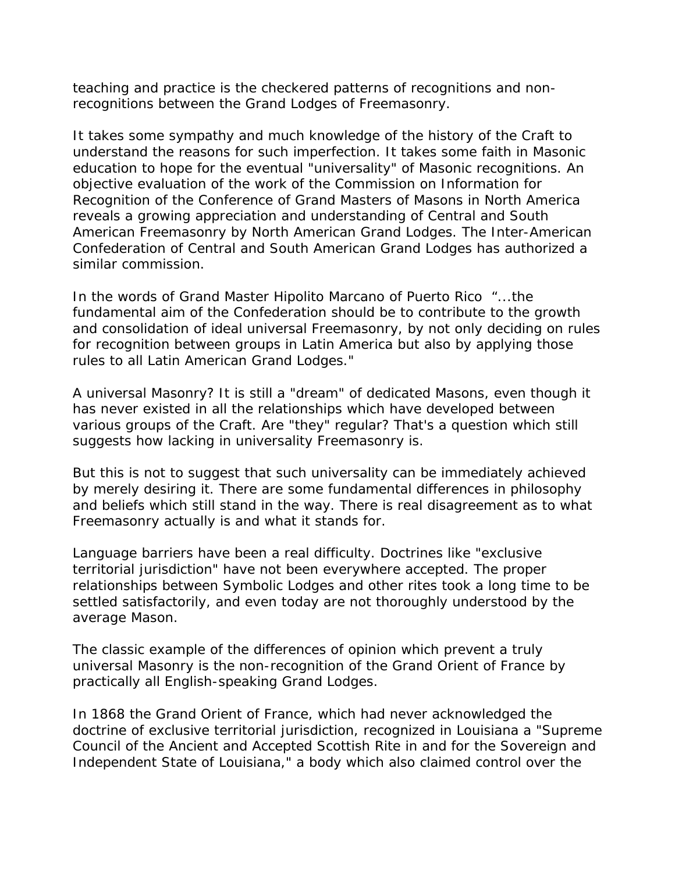teaching and practice is the checkered patterns of recognitions and nonrecognitions between the Grand Lodges of Freemasonry.

It takes some sympathy and much knowledge of the history of the Craft to understand the reasons for such imperfection. It takes some faith in Masonic education to hope for the eventual "universality" of Masonic recognitions. An objective evaluation of the work of the Commission on Information for Recognition of the Conference of Grand Masters of Masons in North America reveals a growing appreciation and understanding of Central and South American Freemasonry by North American Grand Lodges. The Inter-American Confederation of Central and South American Grand Lodges has authorized a similar commission.

In the words of Grand Master Hipolito Marcano of Puerto Rico "...the fundamental aim of the Confederation should be to contribute to the growth and consolidation of ideal universal Freemasonry, by not only deciding on rules for recognition between groups in Latin America but also by applying those rules to all Latin American Grand Lodges."

A universal Masonry? It is still a "dream" of dedicated Masons, even though it has never existed in all the relationships which have developed between various groups of the Craft. Are "they" regular? That's a question which still suggests how lacking in universality Freemasonry is.

But this is not to suggest that such universality can be immediately achieved by merely desiring it. There are some fundamental differences in philosophy and beliefs which still stand in the way. There is real disagreement as to what Freemasonry actually is and what it stands for.

Language barriers have been a real difficulty. Doctrines like "exclusive territorial jurisdiction" have not been everywhere accepted. The proper relationships between Symbolic Lodges and other rites took a long time to be settled satisfactorily, and even today are not thoroughly understood by the average Mason.

The classic example of the differences of opinion which prevent a truly universal Masonry is the non-recognition of the Grand Orient of France by practically all English-speaking Grand Lodges.

In 1868 the Grand Orient of France, which had never acknowledged the doctrine of exclusive territorial jurisdiction, recognized in Louisiana a "Supreme Council of the Ancient and Accepted Scottish Rite in and for the Sovereign and Independent State of Louisiana," a body which also claimed control over the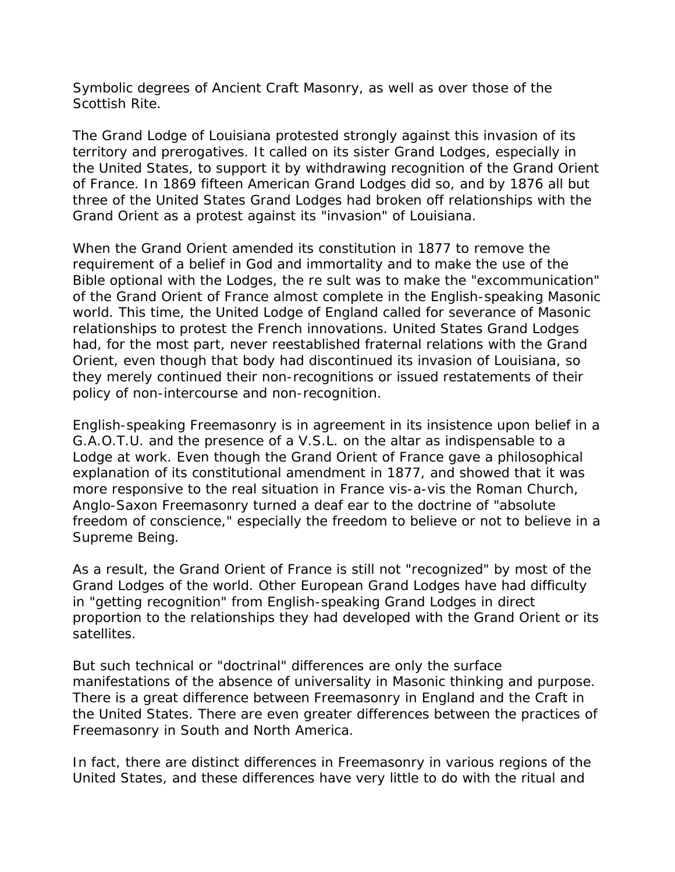Symbolic degrees of Ancient Craft Masonry, as well as over those of the Scottish Rite.

The Grand Lodge of Louisiana protested strongly against this invasion of its territory and prerogatives. It called on its sister Grand Lodges, especially in the United States, to support it by withdrawing recognition of the Grand Orient of France. In 1869 fifteen American Grand Lodges did so, and by 1876 all but three of the United States Grand Lodges had broken off relationships with the Grand Orient as a protest against its "invasion" of Louisiana.

When the Grand Orient amended its constitution in 1877 to remove the requirement of a belief in God and immortality and to make the use of the Bible optional with the Lodges, the re sult was to make the "excommunication" of the Grand Orient of France almost complete in the English-speaking Masonic world. This time, the United Lodge of England called for severance of Masonic relationships to protest the French innovations. United States Grand Lodges had, for the most part, never reestablished fraternal relations with the Grand Orient, even though that body had discontinued its invasion of Louisiana, so they merely continued their non-recognitions or issued restatements of their policy of non-intercourse and non-recognition.

English-speaking Freemasonry is in agreement in its insistence upon belief in a G.A.O.T.U. and the presence of a V.S.L. on the altar as indispensable to a Lodge at work. Even though the Grand Orient of France gave a philosophical explanation of its constitutional amendment in 1877, and showed that it was more responsive to the real situation in France vis-a-vis the Roman Church, Anglo-Saxon Freemasonry turned a deaf ear to the doctrine of "absolute freedom of conscience," especially the freedom to believe or not to believe in a Supreme Being.

As a result, the Grand Orient of France is still not "recognized" by most of the Grand Lodges of the world. Other European Grand Lodges have had difficulty in "getting recognition" from English-speaking Grand Lodges in direct proportion to the relationships they had developed with the Grand Orient or its satellites.

But such technical or "doctrinal" differences are only the surface manifestations of the absence of universality in Masonic thinking and purpose. There is a great difference between Freemasonry in England and the Craft in the United States. There are even greater differences between the practices of Freemasonry in South and North America.

In fact, there are distinct differences in Freemasonry in various regions of the United States, and these differences have very little to do with the ritual and